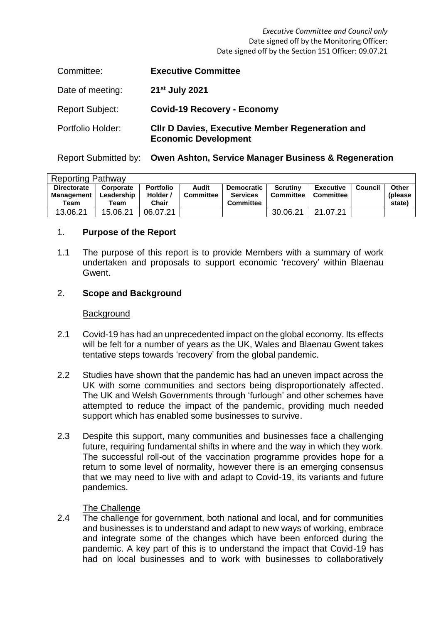#### *Executive Committee and Council only* Date signed off by the Monitoring Officer: Date signed off by the Section 151 Officer: 09.07.21

| Committee:             | <b>Executive Committee</b>                                                             |
|------------------------|----------------------------------------------------------------------------------------|
| Date of meeting:       | 21 <sup>st</sup> July 2021                                                             |
| <b>Report Subject:</b> | <b>Covid-19 Recovery - Economy</b>                                                     |
| Portfolio Holder:      | <b>CIIr D Davies, Executive Member Regeneration and</b><br><b>Economic Development</b> |

Report Submitted by: **Owen Ashton, Service Manager Business & Regeneration** 

| <b>Reporting Pathway</b>         |                         |                              |                    |                                      |                              |                                      |         |                   |  |
|----------------------------------|-------------------------|------------------------------|--------------------|--------------------------------------|------------------------------|--------------------------------------|---------|-------------------|--|
| <b>Directorate</b><br>Management | Corporate<br>Leadership | <b>Portfolio</b><br>Holder / | Audit<br>Committee | <b>Democratic</b><br><b>Services</b> | <b>Scrutiny</b><br>Committee | <b>Executive</b><br><b>Committee</b> | Council | Other<br>(please) |  |
| Team                             | Team                    | Chair                        |                    | <b>Committee</b>                     |                              |                                      |         | state)            |  |
| 13.06.21                         | 15.06.21                | 06.07.21                     |                    |                                      | 30.06.21                     | 21.07.21                             |         |                   |  |

## 1. **Purpose of the Report**

1.1 The purpose of this report is to provide Members with a summary of work undertaken and proposals to support economic 'recovery' within Blaenau Gwent.

### 2. **Scope and Background**

#### **Background**

- 2.1 Covid-19 has had an unprecedented impact on the global economy. Its effects will be felt for a number of years as the UK, Wales and Blaenau Gwent takes tentative steps towards 'recovery' from the global pandemic.
- 2.2 Studies have shown that the pandemic has had an uneven impact across the UK with some communities and sectors being disproportionately affected. The UK and Welsh Governments through 'furlough' and other schemes have attempted to reduce the impact of the pandemic, providing much needed support which has enabled some businesses to survive.
- 2.3 Despite this support, many communities and businesses face a challenging future, requiring fundamental shifts in where and the way in which they work. The successful roll-out of the vaccination programme provides hope for a return to some level of normality, however there is an emerging consensus that we may need to live with and adapt to Covid-19, its variants and future pandemics.

### The Challenge

2.4 The challenge for government, both national and local, and for communities and businesses is to understand and adapt to new ways of working, embrace and integrate some of the changes which have been enforced during the pandemic. A key part of this is to understand the impact that Covid-19 has had on local businesses and to work with businesses to collaboratively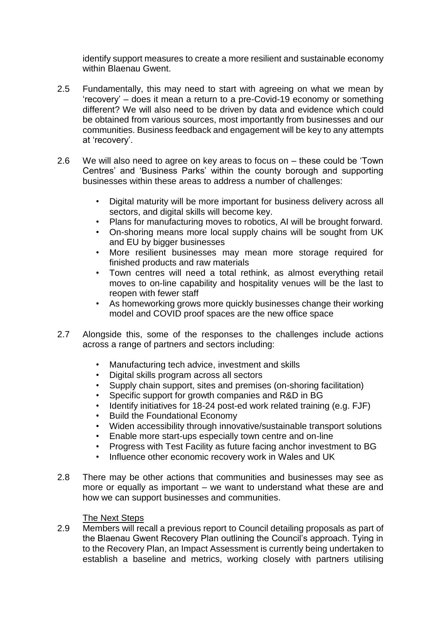identify support measures to create a more resilient and sustainable economy within Blaenau Gwent.

- 2.5 Fundamentally, this may need to start with agreeing on what we mean by 'recovery' – does it mean a return to a pre-Covid-19 economy or something different? We will also need to be driven by data and evidence which could be obtained from various sources, most importantly from businesses and our communities. Business feedback and engagement will be key to any attempts at 'recovery'.
- 2.6 We will also need to agree on key areas to focus on – these could be 'Town Centres' and 'Business Parks' within the county borough and supporting businesses within these areas to address a number of challenges:
	- Digital maturity will be more important for business delivery across all sectors, and digital skills will become key.
	- Plans for manufacturing moves to robotics, AI will be brought forward.
	- On-shoring means more local supply chains will be sought from UK and EU by bigger businesses
	- More resilient businesses may mean more storage required for finished products and raw materials
	- Town centres will need a total rethink, as almost everything retail moves to on-line capability and hospitality venues will be the last to reopen with fewer staff
	- As homeworking grows more quickly businesses change their working model and COVID proof spaces are the new office space
- 2.7 Alongside this, some of the responses to the challenges include actions across a range of partners and sectors including:
	- Manufacturing tech advice, investment and skills
	- Digital skills program across all sectors
	- Supply chain support, sites and premises (on-shoring facilitation)
	- Specific support for growth companies and R&D in BG
	- Identify initiatives for 18-24 post-ed work related training (e.g. FJF)
	- Build the Foundational Economy
	- Widen accessibility through innovative/sustainable transport solutions
	- Enable more start-ups especially town centre and on-line
	- Progress with Test Facility as future facing anchor investment to BG
	- Influence other economic recovery work in Wales and UK
- 2.8 There may be other actions that communities and businesses may see as more or equally as important – we want to understand what these are and how we can support businesses and communities.

## The Next Steps

2.9 Members will recall a previous report to Council detailing proposals as part of the Blaenau Gwent Recovery Plan outlining the Council's approach. Tying in to the Recovery Plan, an Impact Assessment is currently being undertaken to establish a baseline and metrics, working closely with partners utilising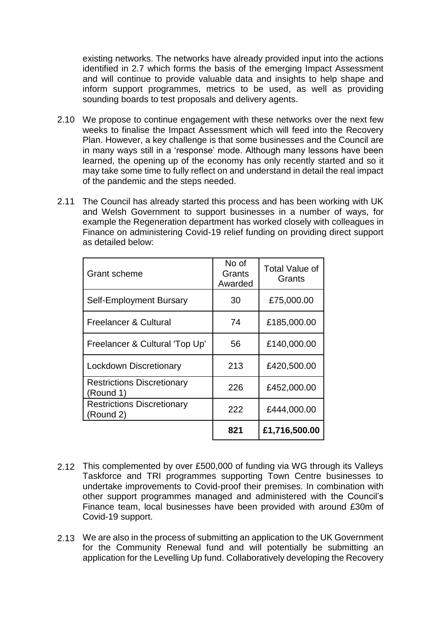existing networks. The networks have already provided input into the actions identified in 2.7 which forms the basis of the emerging Impact Assessment and will continue to provide valuable data and insights to help shape and inform support programmes, metrics to be used, as well as providing sounding boards to test proposals and delivery agents.

- 2.10 We propose to continue engagement with these networks over the next few weeks to finalise the Impact Assessment which will feed into the Recovery Plan. However, a key challenge is that some businesses and the Council are in many ways still in a 'response' mode. Although many lessons have been learned, the opening up of the economy has only recently started and so it may take some time to fully reflect on and understand in detail the real impact of the pandemic and the steps needed.
- 2.11 The Council has already started this process and has been working with UK and Welsh Government to support businesses in a number of ways, for example the Regeneration department has worked closely with colleagues in Finance on administering Covid-19 relief funding on providing direct support as detailed below:

| Grant scheme                                   | No of<br>Grants<br>Awarded | <b>Total Value of</b><br>Grants |
|------------------------------------------------|----------------------------|---------------------------------|
| Self-Employment Bursary                        | 30                         | £75,000.00                      |
| Freelancer & Cultural                          | 74                         | £185,000.00                     |
| Freelancer & Cultural 'Top Up'                 | 56                         | £140,000.00                     |
| Lockdown Discretionary                         | 213                        | £420,500.00                     |
| <b>Restrictions Discretionary</b><br>(Round 1) | 226                        | £452,000.00                     |
| <b>Restrictions Discretionary</b><br>(Round 2) | 222                        | £444,000.00                     |
|                                                | 821                        | £1,716,500.00                   |

- 2.12 This complemented by over £500,000 of funding via WG through its Valleys Taskforce and TRI programmes supporting Town Centre businesses to undertake improvements to Covid-proof their premises. In combination with other support programmes managed and administered with the Council's Finance team, local businesses have been provided with around £30m of Covid-19 support.
- 2.13 We are also in the process of submitting an application to the UK Government for the Community Renewal fund and will potentially be submitting an application for the Levelling Up fund. Collaboratively developing the Recovery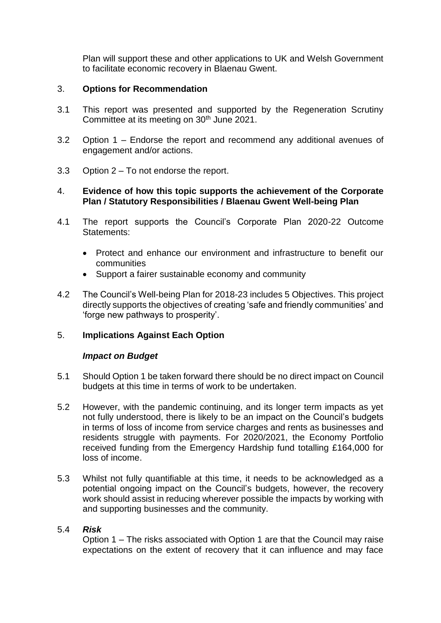Plan will support these and other applications to UK and Welsh Government to facilitate economic recovery in Blaenau Gwent.

# 3. **Options for Recommendation**

- 3.1 This report was presented and supported by the Regeneration Scrutiny Committee at its meeting on 30<sup>th</sup> June 2021.
- 3.2 Option 1 Endorse the report and recommend any additional avenues of engagement and/or actions.
- 3.3 Option 2 To not endorse the report.

# 4. **Evidence of how this topic supports the achievement of the Corporate Plan / Statutory Responsibilities / Blaenau Gwent Well-being Plan**

- 4.1 The report supports the Council's Corporate Plan 2020-22 Outcome Statements:
	- Protect and enhance our environment and infrastructure to benefit our communities
	- Support a fairer sustainable economy and community
- 4.2 The Council's Well-being Plan for 2018-23 includes 5 Objectives. This project directly supports the objectives of creating 'safe and friendly communities' and 'forge new pathways to prosperity'.

# 5. **Implications Against Each Option**

## *Impact on Budget*

- 5.1 Should Option 1 be taken forward there should be no direct impact on Council budgets at this time in terms of work to be undertaken.
- 5.2 However, with the pandemic continuing, and its longer term impacts as yet not fully understood, there is likely to be an impact on the Council's budgets in terms of loss of income from service charges and rents as businesses and residents struggle with payments. For 2020/2021, the Economy Portfolio received funding from the Emergency Hardship fund totalling £164,000 for loss of income.
- 5.3 Whilst not fully quantifiable at this time, it needs to be acknowledged as a potential ongoing impact on the Council's budgets, however, the recovery work should assist in reducing wherever possible the impacts by working with and supporting businesses and the community.

## 5.4 *Risk*

Option 1 – The risks associated with Option 1 are that the Council may raise expectations on the extent of recovery that it can influence and may face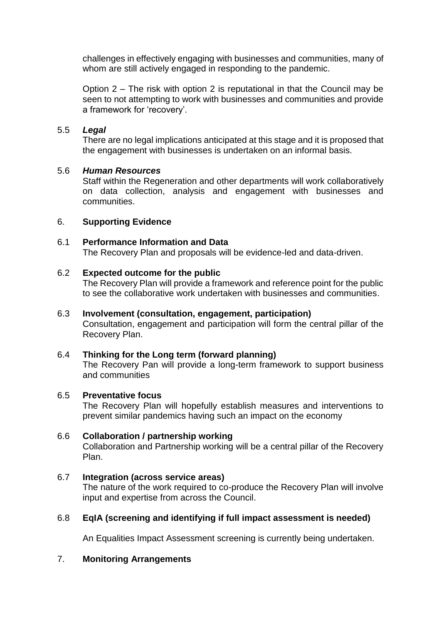challenges in effectively engaging with businesses and communities, many of whom are still actively engaged in responding to the pandemic.

Option 2 – The risk with option 2 is reputational in that the Council may be seen to not attempting to work with businesses and communities and provide a framework for 'recovery'.

## 5.5 *Legal*

There are no legal implications anticipated at this stage and it is proposed that the engagement with businesses is undertaken on an informal basis.

### 5.6 *Human Resources*

Staff within the Regeneration and other departments will work collaboratively on data collection, analysis and engagement with businesses and communities.

### 6. **Supporting Evidence**

## 6.1 **Performance Information and Data**

The Recovery Plan and proposals will be evidence-led and data-driven.

### 6.2 **Expected outcome for the public**

The Recovery Plan will provide a framework and reference point for the public to see the collaborative work undertaken with businesses and communities.

#### 6.3 **Involvement (consultation, engagement, participation)**

Consultation, engagement and participation will form the central pillar of the Recovery Plan.

## 6.4 **Thinking for the Long term (forward planning)**

The Recovery Pan will provide a long-term framework to support business and communities

#### 6.5 **Preventative focus**

The Recovery Plan will hopefully establish measures and interventions to prevent similar pandemics having such an impact on the economy

## 6.6 **Collaboration / partnership working**

Collaboration and Partnership working will be a central pillar of the Recovery Plan.

## 6.7 **Integration (across service areas)**

The nature of the work required to co-produce the Recovery Plan will involve input and expertise from across the Council.

## 6.8 **EqIA (screening and identifying if full impact assessment is needed)**

An Equalities Impact Assessment screening is currently being undertaken.

### 7. **Monitoring Arrangements**